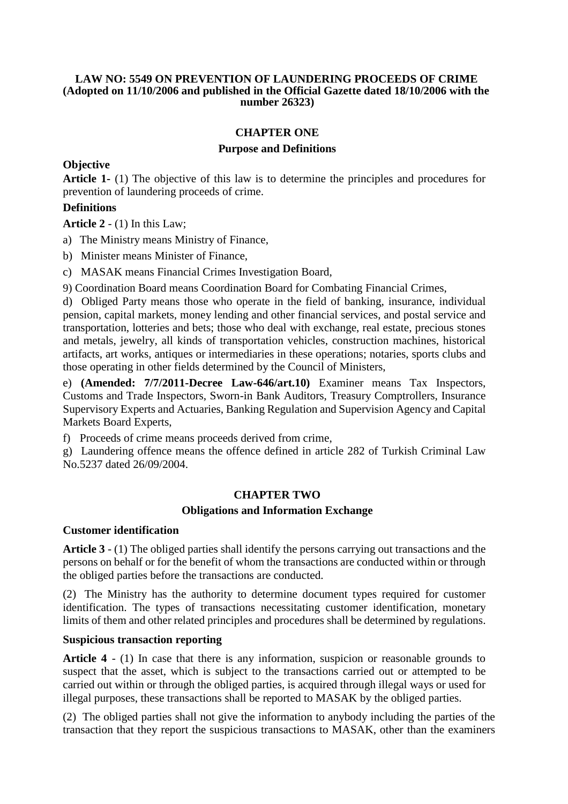#### **LAW NO: 5549 ON PREVENTION OF LAUNDERING PROCEEDS OF CRIME (Adopted on 11/10/2006 and published in the Official Gazette dated 18/10/2006 with the number 26323)**

#### **CHAPTER ONE**

#### **Purpose and Definitions**

### **Objective**

**Article 1-** (1) The objective of this law is to determine the principles and procedures for prevention of laundering proceeds of crime.

### **Definitions**

**Article 2** - (1) In this Law;

a) The Ministry means Ministry of Finance,

b) Minister means Minister of Finance,

c) MASAK means Financial Crimes Investigation Board,

9) Coordination Board means Coordination Board for Combating Financial Crimes,

d) Obliged Party means those who operate in the field of banking, insurance, individual pension, capital markets, money lending and other financial services, and postal service and transportation, lotteries and bets; those who deal with exchange, real estate, precious stones and metals, jewelry, all kinds of transportation vehicles, construction machines, historical artifacts, art works, antiques or intermediaries in these operations; notaries, sports clubs and those operating in other fields determined by the Council of Ministers,

e) **(Amended: 7/7/2011-Decree Law-646/art.10)** Examiner means Tax Inspectors, Customs and Trade Inspectors, Sworn-in Bank Auditors, Treasury Comptrollers, Insurance Supervisory Experts and Actuaries, Banking Regulation and Supervision Agency and Capital Markets Board Experts,

f) Proceeds of crime means proceeds derived from crime,

g) Laundering offence means the offence defined in article 282 of Turkish Criminal Law No.5237 dated 26/09/2004.

## **CHAPTER TWO**

#### **Obligations and Information Exchange**

#### **Customer identification**

**Article 3** - (1) The obliged parties shall identify the persons carrying out transactions and the persons on behalf or for the benefit of whom the transactions are conducted within or through the obliged parties before the transactions are conducted.

(2) The Ministry has the authority to determine document types required for customer identification. The types of transactions necessitating customer identification, monetary limits of them and other related principles and procedures shall be determined by regulations.

### **Suspicious transaction reporting**

**Article 4** - (1) In case that there is any information, suspicion or reasonable grounds to suspect that the asset, which is subject to the transactions carried out or attempted to be carried out within or through the obliged parties, is acquired through illegal ways or used for illegal purposes, these transactions shall be reported to MASAK by the obliged parties.

(2) The obliged parties shall not give the information to anybody including the parties of the transaction that they report the suspicious transactions to MASAK, other than the examiners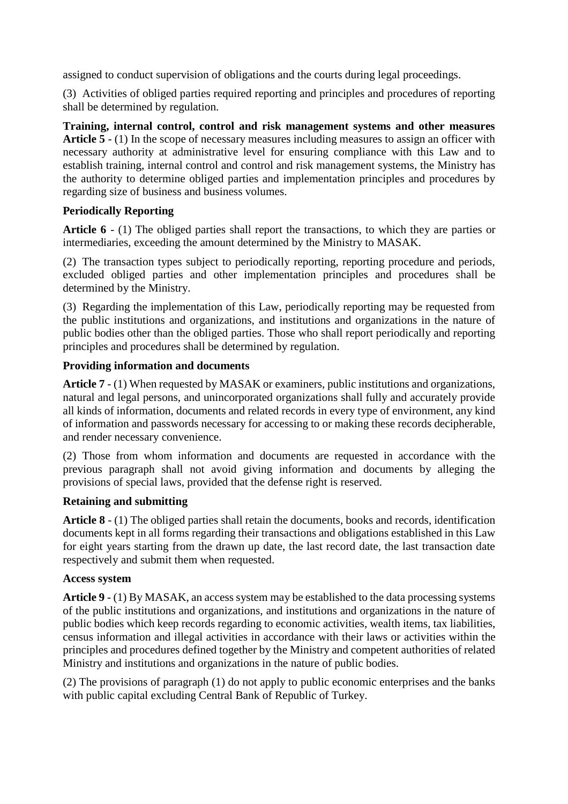assigned to conduct supervision of obligations and the courts during legal proceedings.

(3) Activities of obliged parties required reporting and principles and procedures of reporting shall be determined by regulation.

**Training, internal control, control and risk management systems and other measures Article 5** - (1) In the scope of necessary measures including measures to assign an officer with necessary authority at administrative level for ensuring compliance with this Law and to establish training, internal control and control and risk management systems, the Ministry has the authority to determine obliged parties and implementation principles and procedures by regarding size of business and business volumes.

## **Periodically Reporting**

**Article 6** - (1) The obliged parties shall report the transactions, to which they are parties or intermediaries, exceeding the amount determined by the Ministry to MASAK.

(2) The transaction types subject to periodically reporting, reporting procedure and periods, excluded obliged parties and other implementation principles and procedures shall be determined by the Ministry.

(3) Regarding the implementation of this Law, periodically reporting may be requested from the public institutions and organizations, and institutions and organizations in the nature of public bodies other than the obliged parties. Those who shall report periodically and reporting principles and procedures shall be determined by regulation.

# **Providing information and documents**

**Article 7** - (1) When requested by MASAK or examiners, public institutions and organizations, natural and legal persons, and unincorporated organizations shall fully and accurately provide all kinds of information, documents and related records in every type of environment, any kind of information and passwords necessary for accessing to or making these records decipherable, and render necessary convenience.

(2) Those from whom information and documents are requested in accordance with the previous paragraph shall not avoid giving information and documents by alleging the provisions of special laws, provided that the defense right is reserved.

## **Retaining and submitting**

**Article 8** - (1) The obliged parties shall retain the documents, books and records, identification documents kept in all forms regarding their transactions and obligations established in this Law for eight years starting from the drawn up date, the last record date, the last transaction date respectively and submit them when requested.

## **Access system**

**Article 9** - (1) By MASAK, an access system may be established to the data processing systems of the public institutions and organizations, and institutions and organizations in the nature of public bodies which keep records regarding to economic activities, wealth items, tax liabilities, census information and illegal activities in accordance with their laws or activities within the principles and procedures defined together by the Ministry and competent authorities of related Ministry and institutions and organizations in the nature of public bodies.

(2) The provisions of paragraph (1) do not apply to public economic enterprises and the banks with public capital excluding Central Bank of Republic of Turkey.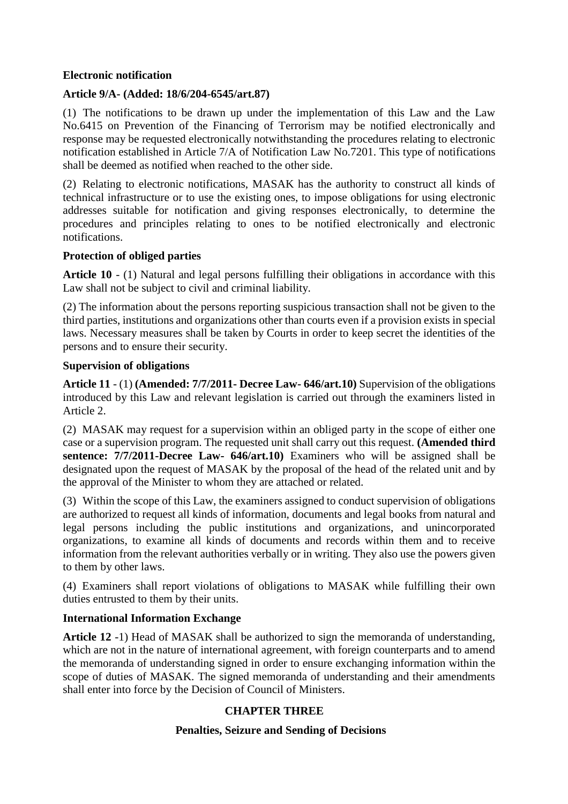### **Electronic notification**

## **Article 9/A- (Added: 18/6/204-6545/art.87)**

(1) The notifications to be drawn up under the implementation of this Law and the Law No.6415 on Prevention of the Financing of Terrorism may be notified electronically and response may be requested electronically notwithstanding the procedures relating to electronic notification established in Article 7/A of Notification Law No.7201. This type of notifications shall be deemed as notified when reached to the other side.

(2) Relating to electronic notifications, MASAK has the authority to construct all kinds of technical infrastructure or to use the existing ones, to impose obligations for using electronic addresses suitable for notification and giving responses electronically, to determine the procedures and principles relating to ones to be notified electronically and electronic notifications.

## **Protection of obliged parties**

**Article 10** - (1) Natural and legal persons fulfilling their obligations in accordance with this Law shall not be subject to civil and criminal liability.

(2) The information about the persons reporting suspicious transaction shall not be given to the third parties, institutions and organizations other than courts even if a provision exists in special laws. Necessary measures shall be taken by Courts in order to keep secret the identities of the persons and to ensure their security.

## **Supervision of obligations**

**Article 11** - (1) **(Amended: 7/7/2011- Decree Law- 646/art.10)** Supervision of the obligations introduced by this Law and relevant legislation is carried out through the examiners listed in Article 2.

(2) MASAK may request for a supervision within an obliged party in the scope of either one case or a supervision program. The requested unit shall carry out this request. **(Amended third sentence: 7/7/2011-Decree Law- 646/art.10)** Examiners who will be assigned shall be designated upon the request of MASAK by the proposal of the head of the related unit and by the approval of the Minister to whom they are attached or related.

(3) Within the scope of this Law, the examiners assigned to conduct supervision of obligations are authorized to request all kinds of information, documents and legal books from natural and legal persons including the public institutions and organizations, and unincorporated organizations, to examine all kinds of documents and records within them and to receive information from the relevant authorities verbally or in writing. They also use the powers given to them by other laws.

(4) Examiners shall report violations of obligations to MASAK while fulfilling their own duties entrusted to them by their units.

## **International Information Exchange**

**Article 12** -1) Head of MASAK shall be authorized to sign the memoranda of understanding, which are not in the nature of international agreement, with foreign counterparts and to amend the memoranda of understanding signed in order to ensure exchanging information within the scope of duties of MASAK. The signed memoranda of understanding and their amendments shall enter into force by the Decision of Council of Ministers.

# **CHAPTER THREE**

## **Penalties, Seizure and Sending of Decisions**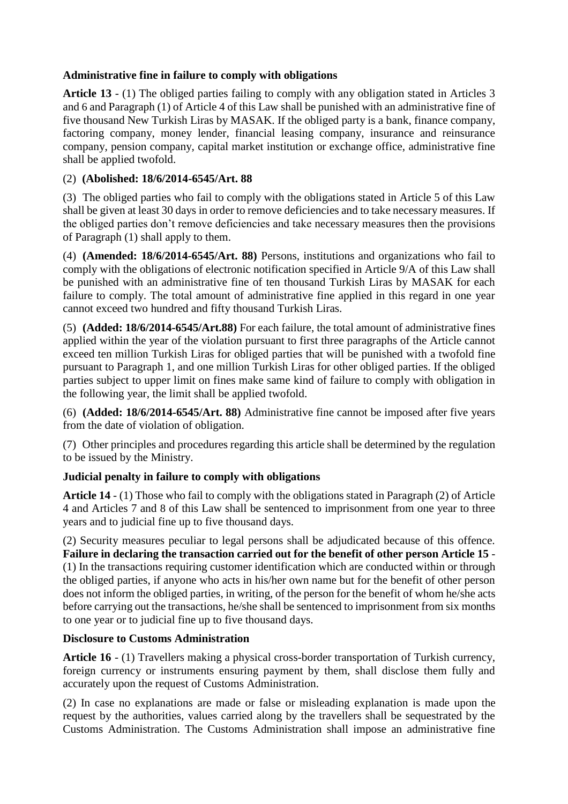## **Administrative fine in failure to comply with obligations**

**Article 13** - (1) The obliged parties failing to comply with any obligation stated in Articles 3 and 6 and Paragraph (1) of Article 4 of this Law shall be punished with an administrative fine of five thousand New Turkish Liras by MASAK. If the obliged party is a bank, finance company, factoring company, money lender, financial leasing company, insurance and reinsurance company, pension company, capital market institution or exchange office, administrative fine shall be applied twofold.

## (2) **(Abolished: 18/6/2014-6545/Art. 88**

(3) The obliged parties who fail to comply with the obligations stated in Article 5 of this Law shall be given at least 30 days in order to remove deficiencies and to take necessary measures. If the obliged parties don't remove deficiencies and take necessary measures then the provisions of Paragraph (1) shall apply to them.

(4) **(Amended: 18/6/2014-6545/Art. 88)** Persons, institutions and organizations who fail to comply with the obligations of electronic notification specified in Article 9/A of this Law shall be punished with an administrative fine of ten thousand Turkish Liras by MASAK for each failure to comply. The total amount of administrative fine applied in this regard in one year cannot exceed two hundred and fifty thousand Turkish Liras.

(5) **(Added: 18/6/2014-6545/Art.88)** For each failure, the total amount of administrative fines applied within the year of the violation pursuant to first three paragraphs of the Article cannot exceed ten million Turkish Liras for obliged parties that will be punished with a twofold fine pursuant to Paragraph 1, and one million Turkish Liras for other obliged parties. If the obliged parties subject to upper limit on fines make same kind of failure to comply with obligation in the following year, the limit shall be applied twofold.

(6) **(Added: 18/6/2014-6545/Art. 88)** Administrative fine cannot be imposed after five years from the date of violation of obligation.

(7) Other principles and procedures regarding this article shall be determined by the regulation to be issued by the Ministry.

## **Judicial penalty in failure to comply with obligations**

**Article 14** - (1) Those who fail to comply with the obligations stated in Paragraph (2) of Article 4 and Articles 7 and 8 of this Law shall be sentenced to imprisonment from one year to three years and to judicial fine up to five thousand days.

(2) Security measures peculiar to legal persons shall be adjudicated because of this offence. **Failure in declaring the transaction carried out for the benefit of other person Article 15** - (1) In the transactions requiring customer identification which are conducted within or through the obliged parties, if anyone who acts in his/her own name but for the benefit of other person does not inform the obliged parties, in writing, of the person for the benefit of whom he/she acts before carrying out the transactions, he/she shall be sentenced to imprisonment from six months to one year or to judicial fine up to five thousand days.

## **Disclosure to Customs Administration**

**Article 16** - (1) Travellers making a physical cross-border transportation of Turkish currency, foreign currency or instruments ensuring payment by them, shall disclose them fully and accurately upon the request of Customs Administration.

(2) In case no explanations are made or false or misleading explanation is made upon the request by the authorities, values carried along by the travellers shall be sequestrated by the Customs Administration. The Customs Administration shall impose an administrative fine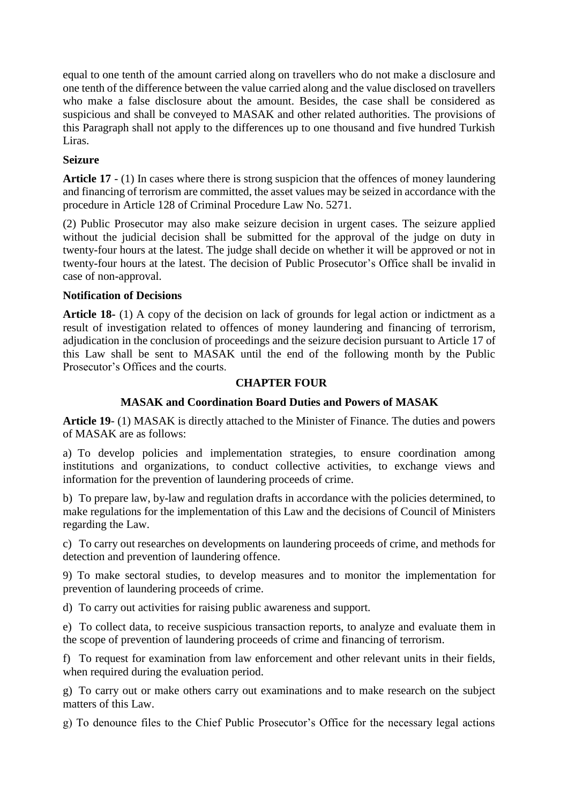equal to one tenth of the amount carried along on travellers who do not make a disclosure and one tenth of the difference between the value carried along and the value disclosed on travellers who make a false disclosure about the amount. Besides, the case shall be considered as suspicious and shall be conveyed to MASAK and other related authorities. The provisions of this Paragraph shall not apply to the differences up to one thousand and five hundred Turkish Liras.

## **Seizure**

**Article 17** - (1) In cases where there is strong suspicion that the offences of money laundering and financing of terrorism are committed, the asset values may be seized in accordance with the procedure in Article 128 of Criminal Procedure Law No. 5271.

(2) Public Prosecutor may also make seizure decision in urgent cases. The seizure applied without the judicial decision shall be submitted for the approval of the judge on duty in twenty-four hours at the latest. The judge shall decide on whether it will be approved or not in twenty-four hours at the latest. The decision of Public Prosecutor's Office shall be invalid in case of non-approval.

## **Notification of Decisions**

**Article 18-** (1) A copy of the decision on lack of grounds for legal action or indictment as a result of investigation related to offences of money laundering and financing of terrorism, adjudication in the conclusion of proceedings and the seizure decision pursuant to Article 17 of this Law shall be sent to MASAK until the end of the following month by the Public Prosecutor's Offices and the courts.

#### **CHAPTER FOUR**

## **MASAK and Coordination Board Duties and Powers of MASAK**

**Article 19**- (1) MASAK is directly attached to the Minister of Finance. The duties and powers of MASAK are as follows:

a) To develop policies and implementation strategies, to ensure coordination among institutions and organizations, to conduct collective activities, to exchange views and information for the prevention of laundering proceeds of crime.

b) To prepare law, by-law and regulation drafts in accordance with the policies determined, to make regulations for the implementation of this Law and the decisions of Council of Ministers regarding the Law.

c) To carry out researches on developments on laundering proceeds of crime, and methods for detection and prevention of laundering offence.

9) To make sectoral studies, to develop measures and to monitor the implementation for prevention of laundering proceeds of crime.

d) To carry out activities for raising public awareness and support.

e) To collect data, to receive suspicious transaction reports, to analyze and evaluate them in the scope of prevention of laundering proceeds of crime and financing of terrorism.

f) To request for examination from law enforcement and other relevant units in their fields, when required during the evaluation period.

g) To carry out or make others carry out examinations and to make research on the subject matters of this Law.

g) To denounce files to the Chief Public Prosecutor's Office for the necessary legal actions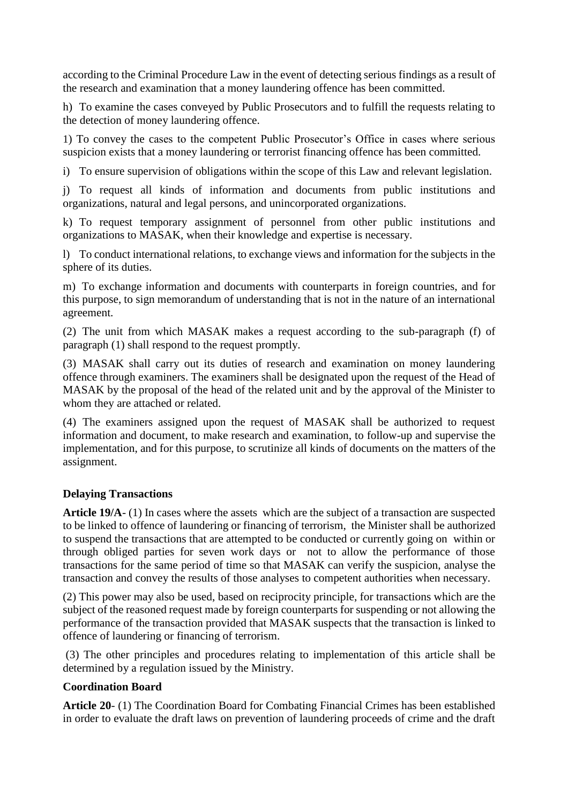according to the Criminal Procedure Law in the event of detecting serious findings as a result of the research and examination that a money laundering offence has been committed.

h) To examine the cases conveyed by Public Prosecutors and to fulfill the requests relating to the detection of money laundering offence.

1) To convey the cases to the competent Public Prosecutor's Office in cases where serious suspicion exists that a money laundering or terrorist financing offence has been committed.

i) To ensure supervision of obligations within the scope of this Law and relevant legislation.

j) To request all kinds of information and documents from public institutions and organizations, natural and legal persons, and unincorporated organizations.

k) To request temporary assignment of personnel from other public institutions and organizations to MASAK, when their knowledge and expertise is necessary.

l) To conduct international relations, to exchange views and information for the subjects in the sphere of its duties.

m) To exchange information and documents with counterparts in foreign countries, and for this purpose, to sign memorandum of understanding that is not in the nature of an international agreement.

(2) The unit from which MASAK makes a request according to the sub-paragraph (f) of paragraph (1) shall respond to the request promptly.

(3) MASAK shall carry out its duties of research and examination on money laundering offence through examiners. The examiners shall be designated upon the request of the Head of MASAK by the proposal of the head of the related unit and by the approval of the Minister to whom they are attached or related.

(4) The examiners assigned upon the request of MASAK shall be authorized to request information and document, to make research and examination, to follow-up and supervise the implementation, and for this purpose, to scrutinize all kinds of documents on the matters of the assignment.

#### **Delaying Transactions**

**Article 19/A**- (1) In cases where the assets which are the subject of a transaction are suspected to be linked to offence of laundering or financing of terrorism, the Minister shall be authorized to suspend the transactions that are attempted to be conducted or currently going on within or through obliged parties for seven work days or not to allow the performance of those transactions for the same period of time so that MASAK can verify the suspicion, analyse the transaction and convey the results of those analyses to competent authorities when necessary.

(2) This power may also be used, based on reciprocity principle, for transactions which are the subject of the reasoned request made by foreign counterparts for suspending or not allowing the performance of the transaction provided that MASAK suspects that the transaction is linked to offence of laundering or financing of terrorism.

(3) The other principles and procedures relating to implementation of this article shall be determined by a regulation issued by the Ministry.

#### **Coordination Board**

**Article 20**- (1) The Coordination Board for Combating Financial Crimes has been established in order to evaluate the draft laws on prevention of laundering proceeds of crime and the draft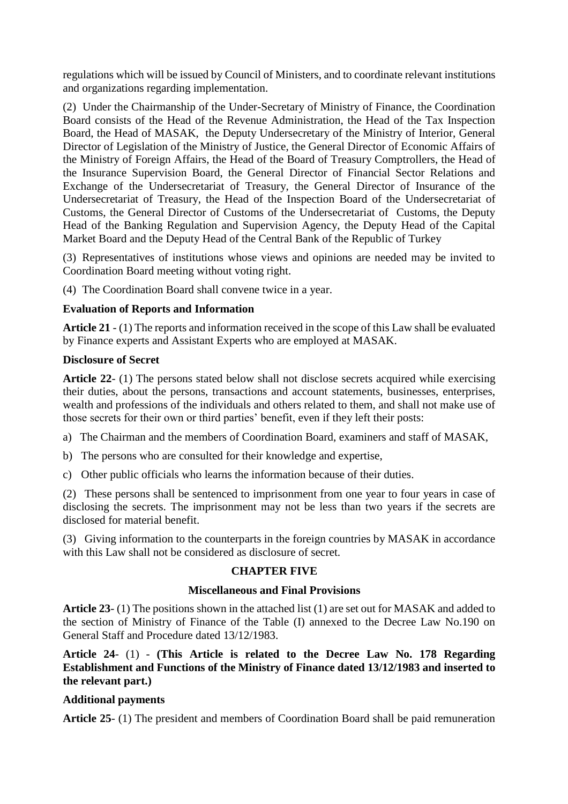regulations which will be issued by Council of Ministers, and to coordinate relevant institutions and organizations regarding implementation.

(2) Under the Chairmanship of the Under-Secretary of Ministry of Finance, the Coordination Board consists of the Head of the Revenue Administration, the Head of the Tax Inspection Board, the Head of MASAK, the Deputy Undersecretary of the Ministry of Interior, General Director of Legislation of the Ministry of Justice, the General Director of Economic Affairs of the Ministry of Foreign Affairs, the Head of the Board of Treasury Comptrollers, the Head of the Insurance Supervision Board, the General Director of Financial Sector Relations and Exchange of the Undersecretariat of Treasury, the General Director of Insurance of the Undersecretariat of Treasury, the Head of the Inspection Board of the Undersecretariat of Customs, the General Director of Customs of the Undersecretariat of Customs, the Deputy Head of the Banking Regulation and Supervision Agency, the Deputy Head of the Capital Market Board and the Deputy Head of the Central Bank of the Republic of Turkey

(3) Representatives of institutions whose views and opinions are needed may be invited to Coordination Board meeting without voting right.

(4) The Coordination Board shall convene twice in a year.

### **Evaluation of Reports and Information**

**Article 21** - (1) The reports and information received in the scope of this Law shall be evaluated by Finance experts and Assistant Experts who are employed at MASAK.

#### **Disclosure of Secret**

**Article 22**- (1) The persons stated below shall not disclose secrets acquired while exercising their duties, about the persons, transactions and account statements, businesses, enterprises, wealth and professions of the individuals and others related to them, and shall not make use of those secrets for their own or third parties' benefit, even if they left their posts:

a) The Chairman and the members of Coordination Board, examiners and staff of MASAK,

- b) The persons who are consulted for their knowledge and expertise,
- c) Other public officials who learns the information because of their duties.

(2) These persons shall be sentenced to imprisonment from one year to four years in case of disclosing the secrets. The imprisonment may not be less than two years if the secrets are disclosed for material benefit.

(3) Giving information to the counterparts in the foreign countries by MASAK in accordance with this Law shall not be considered as disclosure of secret.

## **CHAPTER FIVE**

#### **Miscellaneous and Final Provisions**

**Article 23**- (1) The positions shown in the attached list (1) are set out for MASAK and added to the section of Ministry of Finance of the Table (I) annexed to the Decree Law No.190 on General Staff and Procedure dated 13/12/1983.

**Article 24**- (1) - **(This Article is related to the Decree Law No. 178 Regarding Establishment and Functions of the Ministry of Finance dated 13/12/1983 and inserted to the relevant part.)**

## **Additional payments**

**Article 25**- (1) The president and members of Coordination Board shall be paid remuneration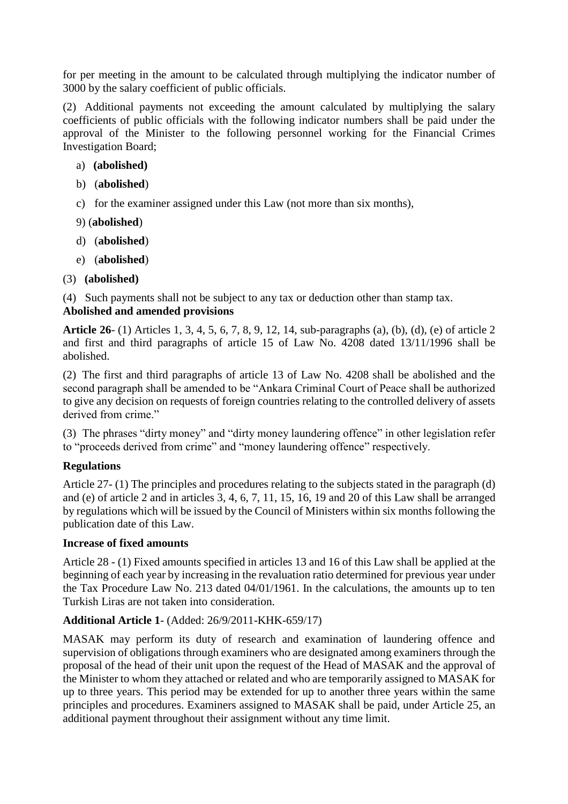for per meeting in the amount to be calculated through multiplying the indicator number of 3000 by the salary coefficient of public officials.

(2) Additional payments not exceeding the amount calculated by multiplying the salary coefficients of public officials with the following indicator numbers shall be paid under the approval of the Minister to the following personnel working for the Financial Crimes Investigation Board;

- a) **(abolished)**
- b) (**abolished**)
- c) for the examiner assigned under this Law (not more than six months),
- 9) (**abolished**)
- d) (**abolished**)
- e) (**abolished**)
- (3) **(abolished)**

(4) Such payments shall not be subject to any tax or deduction other than stamp tax.

## **Abolished and amended provisions**

**Article 26**- (1) Articles 1, 3, 4, 5, 6, 7, 8, 9, 12, 14, sub-paragraphs (a), (b), (d), (e) of article 2 and first and third paragraphs of article 15 of Law No. 4208 dated 13/11/1996 shall be abolished.

(2) The first and third paragraphs of article 13 of Law No. 4208 shall be abolished and the second paragraph shall be amended to be "Ankara Criminal Court of Peace shall be authorized to give any decision on requests of foreign countries relating to the controlled delivery of assets derived from crime."

(3) The phrases "dirty money" and "dirty money laundering offence" in other legislation refer to "proceeds derived from crime" and "money laundering offence" respectively.

## **Regulations**

Article 27- (1) The principles and procedures relating to the subjects stated in the paragraph (d) and (e) of article 2 and in articles 3, 4, 6, 7, 11, 15, 16, 19 and 20 of this Law shall be arranged by regulations which will be issued by the Council of Ministers within six months following the publication date of this Law.

## **Increase of fixed amounts**

Article 28 - (1) Fixed amounts specified in articles 13 and 16 of this Law shall be applied at the beginning of each year by increasing in the revaluation ratio determined for previous year under the Tax Procedure Law No. 213 dated 04/01/1961. In the calculations, the amounts up to ten Turkish Liras are not taken into consideration.

## **Additional Article 1**- (Added: 26/9/2011-KHK-659/17)

MASAK may perform its duty of research and examination of laundering offence and supervision of obligations through examiners who are designated among examiners through the proposal of the head of their unit upon the request of the Head of MASAK and the approval of the Minister to whom they attached or related and who are temporarily assigned to MASAK for up to three years. This period may be extended for up to another three years within the same principles and procedures. Examiners assigned to MASAK shall be paid, under Article 25, an additional payment throughout their assignment without any time limit.